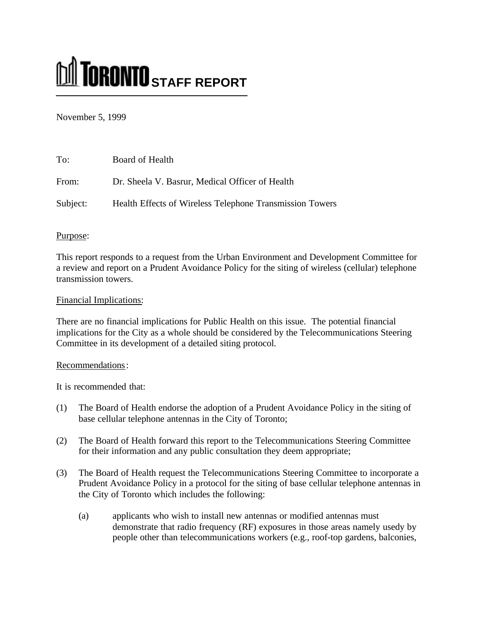# **M** TORONTO STAFF REPORT

November 5, 1999

| To:      | Board of Health                                          |
|----------|----------------------------------------------------------|
| From:    | Dr. Sheela V. Basrur, Medical Officer of Health          |
| Subject: | Health Effects of Wireless Telephone Transmission Towers |

# Purpose:

This report responds to a request from the Urban Environment and Development Committee for a review and report on a Prudent Avoidance Policy for the siting of wireless (cellular) telephone transmission towers.

# Financial Implications:

There are no financial implications for Public Health on this issue. The potential financial implications for the City as a whole should be considered by the Telecommunications Steering Committee in its development of a detailed siting protocol.

## Recommendations:

It is recommended that:

- (1) The Board of Health endorse the adoption of a Prudent Avoidance Policy in the siting of base cellular telephone antennas in the City of Toronto;
- (2) The Board of Health forward this report to the Telecommunications Steering Committee for their information and any public consultation they deem appropriate;
- (3) The Board of Health request the Telecommunications Steering Committee to incorporate a Prudent Avoidance Policy in a protocol for the siting of base cellular telephone antennas in the City of Toronto which includes the following:
	- (a) applicants who wish to install new antennas or modified antennas must demonstrate that radio frequency (RF) exposures in those areas namely usedy by people other than telecommunications workers (e.g., roof-top gardens, balconies,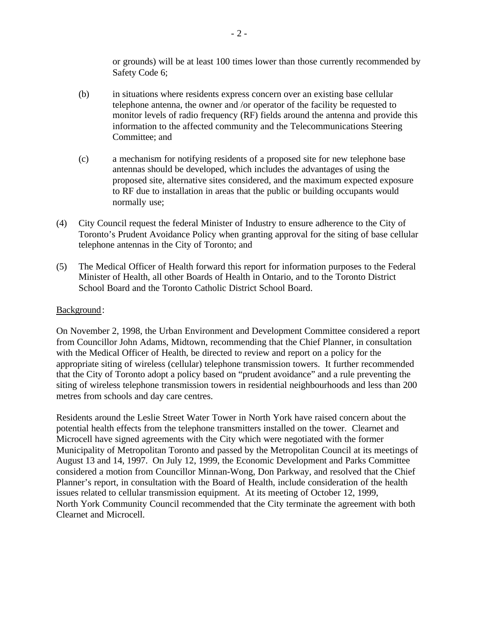or grounds) will be at least 100 times lower than those currently recommended by Safety Code 6;

- (b) in situations where residents express concern over an existing base cellular telephone antenna, the owner and /or operator of the facility be requested to monitor levels of radio frequency (RF) fields around the antenna and provide this information to the affected community and the Telecommunications Steering Committee; and
- (c) a mechanism for notifying residents of a proposed site for new telephone base antennas should be developed, which includes the advantages of using the proposed site, alternative sites considered, and the maximum expected exposure to RF due to installation in areas that the public or building occupants would normally use;
- (4) City Council request the federal Minister of Industry to ensure adherence to the City of Toronto's Prudent Avoidance Policy when granting approval for the siting of base cellular telephone antennas in the City of Toronto; and
- (5) The Medical Officer of Health forward this report for information purposes to the Federal Minister of Health, all other Boards of Health in Ontario, and to the Toronto District School Board and the Toronto Catholic District School Board.

## Background:

On November 2, 1998, the Urban Environment and Development Committee considered a report from Councillor John Adams, Midtown, recommending that the Chief Planner, in consultation with the Medical Officer of Health, be directed to review and report on a policy for the appropriate siting of wireless (cellular) telephone transmission towers. It further recommended that the City of Toronto adopt a policy based on "prudent avoidance" and a rule preventing the siting of wireless telephone transmission towers in residential neighbourhoods and less than 200 metres from schools and day care centres.

Residents around the Leslie Street Water Tower in North York have raised concern about the potential health effects from the telephone transmitters installed on the tower. Clearnet and Microcell have signed agreements with the City which were negotiated with the former Municipality of Metropolitan Toronto and passed by the Metropolitan Council at its meetings of August 13 and 14, 1997. On July 12, 1999, the Economic Development and Parks Committee considered a motion from Councillor Minnan-Wong, Don Parkway, and resolved that the Chief Planner's report, in consultation with the Board of Health, include consideration of the health issues related to cellular transmission equipment. At its meeting of October 12, 1999, North York Community Council recommended that the City terminate the agreement with both Clearnet and Microcell.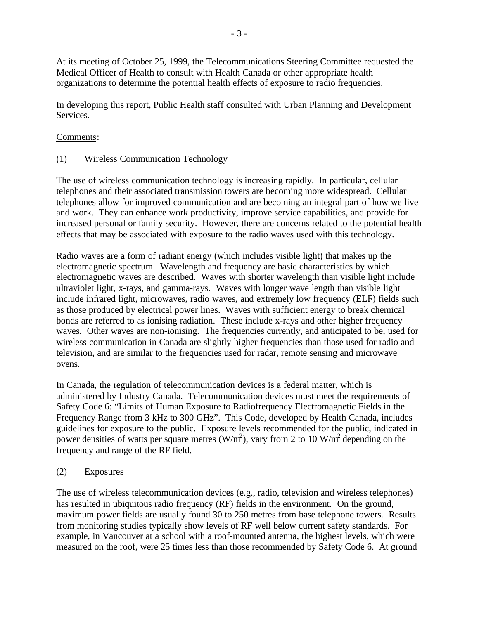At its meeting of October 25, 1999, the Telecommunications Steering Committee requested the Medical Officer of Health to consult with Health Canada or other appropriate health organizations to determine the potential health effects of exposure to radio frequencies.

In developing this report, Public Health staff consulted with Urban Planning and Development Services.

# Comments:

(1) Wireless Communication Technology

The use of wireless communication technology is increasing rapidly. In particular, cellular telephones and their associated transmission towers are becoming more widespread. Cellular telephones allow for improved communication and are becoming an integral part of how we live and work. They can enhance work productivity, improve service capabilities, and provide for increased personal or family security. However, there are concerns related to the potential health effects that may be associated with exposure to the radio waves used with this technology.

Radio waves are a form of radiant energy (which includes visible light) that makes up the electromagnetic spectrum. Wavelength and frequency are basic characteristics by which electromagnetic waves are described. Waves with shorter wavelength than visible light include ultraviolet light, x-rays, and gamma-rays. Waves with longer wave length than visible light include infrared light, microwaves, radio waves, and extremely low frequency (ELF) fields such as those produced by electrical power lines. Waves with sufficient energy to break chemical bonds are referred to as ionising radiation. These include x-rays and other higher frequency waves. Other waves are non-ionising. The frequencies currently, and anticipated to be, used for wireless communication in Canada are slightly higher frequencies than those used for radio and television, and are similar to the frequencies used for radar, remote sensing and microwave ovens.

In Canada, the regulation of telecommunication devices is a federal matter, which is administered by Industry Canada. Telecommunication devices must meet the requirements of Safety Code 6: "Limits of Human Exposure to Radiofrequency Electromagnetic Fields in the Frequency Range from 3 kHz to 300 GHz". This Code, developed by Health Canada, includes guidelines for exposure to the public. Exposure levels recommended for the public, indicated in power densities of watts per square metres  $(W/m^2)$ , vary from 2 to 10 W/m<sup>2</sup> depending on the frequency and range of the RF field.

# (2) Exposures

The use of wireless telecommunication devices (e.g., radio, television and wireless telephones) has resulted in ubiquitous radio frequency (RF) fields in the environment. On the ground, maximum power fields are usually found 30 to 250 metres from base telephone towers. Results from monitoring studies typically show levels of RF well below current safety standards. For example, in Vancouver at a school with a roof-mounted antenna, the highest levels, which were measured on the roof, were 25 times less than those recommended by Safety Code 6. At ground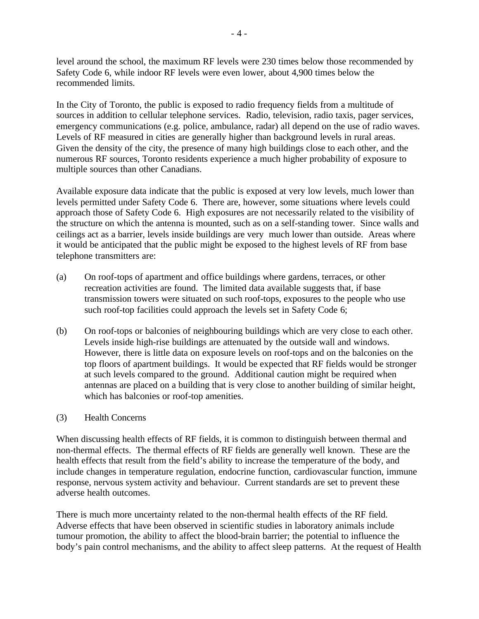level around the school, the maximum RF levels were 230 times below those recommended by Safety Code 6, while indoor RF levels were even lower, about 4,900 times below the recommended limits.

In the City of Toronto, the public is exposed to radio frequency fields from a multitude of sources in addition to cellular telephone services. Radio, television, radio taxis, pager services, emergency communications (e.g. police, ambulance, radar) all depend on the use of radio waves. Levels of RF measured in cities are generally higher than background levels in rural areas. Given the density of the city, the presence of many high buildings close to each other, and the numerous RF sources, Toronto residents experience a much higher probability of exposure to multiple sources than other Canadians.

Available exposure data indicate that the public is exposed at very low levels, much lower than levels permitted under Safety Code 6. There are, however, some situations where levels could approach those of Safety Code 6. High exposures are not necessarily related to the visibility of the structure on which the antenna is mounted, such as on a self-standing tower. Since walls and ceilings act as a barrier, levels inside buildings are very much lower than outside. Areas where it would be anticipated that the public might be exposed to the highest levels of RF from base telephone transmitters are:

- (a) On roof-tops of apartment and office buildings where gardens, terraces, or other recreation activities are found. The limited data available suggests that, if base transmission towers were situated on such roof-tops, exposures to the people who use such roof-top facilities could approach the levels set in Safety Code 6;
- (b) On roof-tops or balconies of neighbouring buildings which are very close to each other. Levels inside high-rise buildings are attenuated by the outside wall and windows. However, there is little data on exposure levels on roof-tops and on the balconies on the top floors of apartment buildings. It would be expected that RF fields would be stronger at such levels compared to the ground. Additional caution might be required when antennas are placed on a building that is very close to another building of similar height, which has balconies or roof-top amenities.

## (3) Health Concerns

When discussing health effects of RF fields, it is common to distinguish between thermal and non-thermal effects. The thermal effects of RF fields are generally well known. These are the health effects that result from the field's ability to increase the temperature of the body, and include changes in temperature regulation, endocrine function, cardiovascular function, immune response, nervous system activity and behaviour. Current standards are set to prevent these adverse health outcomes.

There is much more uncertainty related to the non-thermal health effects of the RF field. Adverse effects that have been observed in scientific studies in laboratory animals include tumour promotion, the ability to affect the blood-brain barrier; the potential to influence the body's pain control mechanisms, and the ability to affect sleep patterns. At the request of Health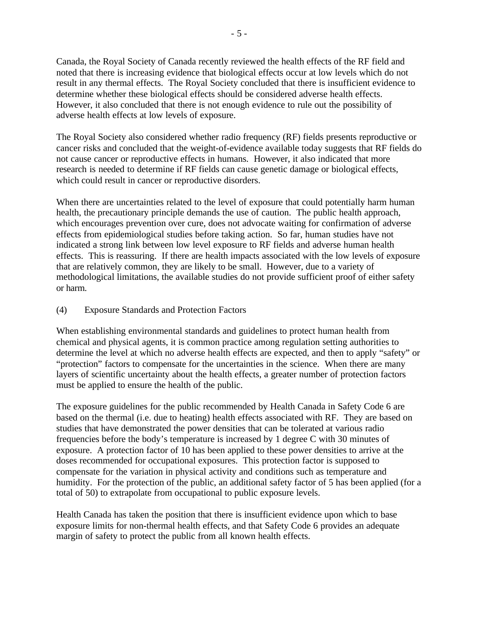Canada, the Royal Society of Canada recently reviewed the health effects of the RF field and noted that there is increasing evidence that biological effects occur at low levels which do not result in any thermal effects. The Royal Society concluded that there is insufficient evidence to determine whether these biological effects should be considered adverse health effects. However, it also concluded that there is not enough evidence to rule out the possibility of adverse health effects at low levels of exposure.

The Royal Society also considered whether radio frequency (RF) fields presents reproductive or cancer risks and concluded that the weight-of-evidence available today suggests that RF fields do not cause cancer or reproductive effects in humans. However, it also indicated that more research is needed to determine if RF fields can cause genetic damage or biological effects, which could result in cancer or reproductive disorders.

When there are uncertainties related to the level of exposure that could potentially harm human health, the precautionary principle demands the use of caution. The public health approach, which encourages prevention over cure, does not advocate waiting for confirmation of adverse effects from epidemiological studies before taking action. So far, human studies have not indicated a strong link between low level exposure to RF fields and adverse human health effects. This is reassuring. If there are health impacts associated with the low levels of exposure that are relatively common, they are likely to be small. However, due to a variety of methodological limitations, the available studies do not provide sufficient proof of either safety or harm.

## (4) Exposure Standards and Protection Factors

When establishing environmental standards and guidelines to protect human health from chemical and physical agents, it is common practice among regulation setting authorities to determine the level at which no adverse health effects are expected, and then to apply "safety" or "protection" factors to compensate for the uncertainties in the science. When there are many layers of scientific uncertainty about the health effects, a greater number of protection factors must be applied to ensure the health of the public.

The exposure guidelines for the public recommended by Health Canada in Safety Code 6 are based on the thermal (i.e. due to heating) health effects associated with RF. They are based on studies that have demonstrated the power densities that can be tolerated at various radio frequencies before the body's temperature is increased by 1 degree C with 30 minutes of exposure. A protection factor of 10 has been applied to these power densities to arrive at the doses recommended for occupational exposures. This protection factor is supposed to compensate for the variation in physical activity and conditions such as temperature and humidity. For the protection of the public, an additional safety factor of 5 has been applied (for a total of 50) to extrapolate from occupational to public exposure levels.

Health Canada has taken the position that there is insufficient evidence upon which to base exposure limits for non-thermal health effects, and that Safety Code 6 provides an adequate margin of safety to protect the public from all known health effects.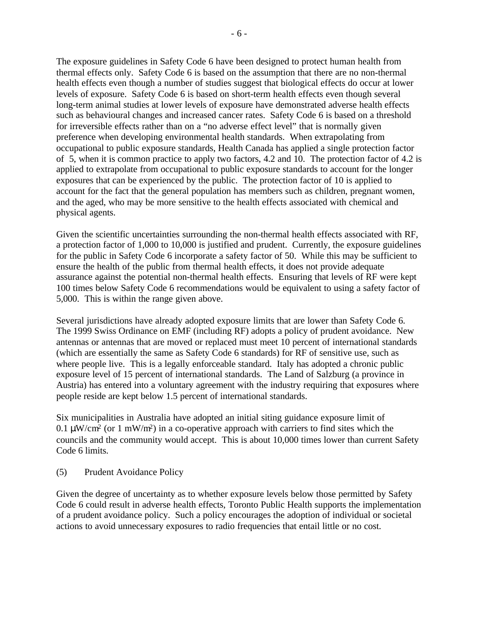The exposure guidelines in Safety Code 6 have been designed to protect human health from thermal effects only. Safety Code 6 is based on the assumption that there are no non-thermal health effects even though a number of studies suggest that biological effects do occur at lower levels of exposure. Safety Code 6 is based on short-term health effects even though several long-term animal studies at lower levels of exposure have demonstrated adverse health effects such as behavioural changes and increased cancer rates. Safety Code 6 is based on a threshold for irreversible effects rather than on a "no adverse effect level" that is normally given preference when developing environmental health standards. When extrapolating from occupational to public exposure standards, Health Canada has applied a single protection factor of 5, when it is common practice to apply two factors, 4.2 and 10. The protection factor of 4.2 is applied to extrapolate from occupational to public exposure standards to account for the longer exposures that can be experienced by the public. The protection factor of 10 is applied to account for the fact that the general population has members such as children, pregnant women, and the aged, who may be more sensitive to the health effects associated with chemical and physical agents.

Given the scientific uncertainties surrounding the non-thermal health effects associated with RF, a protection factor of 1,000 to 10,000 is justified and prudent. Currently, the exposure guidelines for the public in Safety Code 6 incorporate a safety factor of 50. While this may be sufficient to ensure the health of the public from thermal health effects, it does not provide adequate assurance against the potential non-thermal health effects. Ensuring that levels of RF were kept 100 times below Safety Code 6 recommendations would be equivalent to using a safety factor of 5,000. This is within the range given above.

Several jurisdictions have already adopted exposure limits that are lower than Safety Code 6. The 1999 Swiss Ordinance on EMF (including RF) adopts a policy of prudent avoidance. New antennas or antennas that are moved or replaced must meet 10 percent of international standards (which are essentially the same as Safety Code 6 standards) for RF of sensitive use, such as where people live. This is a legally enforceable standard. Italy has adopted a chronic public exposure level of 15 percent of international standards. The Land of Salzburg (a province in Austria) has entered into a voluntary agreement with the industry requiring that exposures where people reside are kept below 1.5 percent of international standards.

Six municipalities in Australia have adopted an initial siting guidance exposure limit of 0.1  $\mu$ W/cm<sup>2</sup> (or 1 mW/m<sup>2</sup>) in a co-operative approach with carriers to find sites which the councils and the community would accept. This is about 10,000 times lower than current Safety Code 6 limits.

(5) Prudent Avoidance Policy

Given the degree of uncertainty as to whether exposure levels below those permitted by Safety Code 6 could result in adverse health effects, Toronto Public Health supports the implementation of a prudent avoidance policy. Such a policy encourages the adoption of individual or societal actions to avoid unnecessary exposures to radio frequencies that entail little or no cost.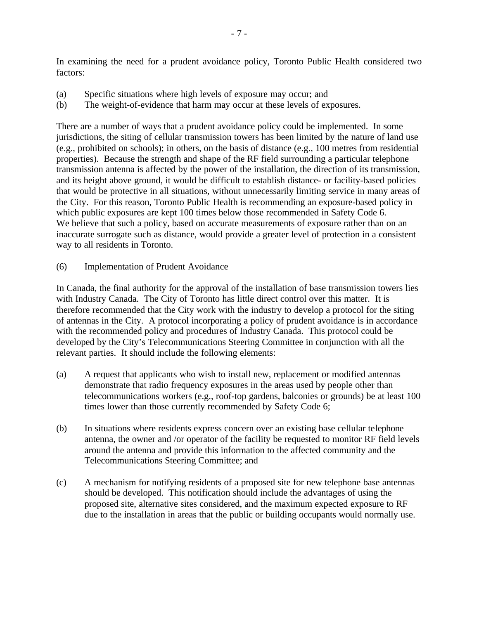In examining the need for a prudent avoidance policy, Toronto Public Health considered two factors:

- (a) Specific situations where high levels of exposure may occur; and
- (b) The weight-of-evidence that harm may occur at these levels of exposures.

There are a number of ways that a prudent avoidance policy could be implemented. In some jurisdictions, the siting of cellular transmission towers has been limited by the nature of land use (e.g., prohibited on schools); in others, on the basis of distance (e.g., 100 metres from residential properties). Because the strength and shape of the RF field surrounding a particular telephone transmission antenna is affected by the power of the installation, the direction of its transmission, and its height above ground, it would be difficult to establish distance- or facility-based policies that would be protective in all situations, without unnecessarily limiting service in many areas of the City. For this reason, Toronto Public Health is recommending an exposure-based policy in which public exposures are kept 100 times below those recommended in Safety Code 6. We believe that such a policy, based on accurate measurements of exposure rather than on an inaccurate surrogate such as distance, would provide a greater level of protection in a consistent way to all residents in Toronto.

(6) Implementation of Prudent Avoidance

In Canada, the final authority for the approval of the installation of base transmission towers lies with Industry Canada. The City of Toronto has little direct control over this matter. It is therefore recommended that the City work with the industry to develop a protocol for the siting of antennas in the City. A protocol incorporating a policy of prudent avoidance is in accordance with the recommended policy and procedures of Industry Canada. This protocol could be developed by the City's Telecommunications Steering Committee in conjunction with all the relevant parties. It should include the following elements:

- (a) A request that applicants who wish to install new, replacement or modified antennas demonstrate that radio frequency exposures in the areas used by people other than telecommunications workers (e.g., roof-top gardens, balconies or grounds) be at least 100 times lower than those currently recommended by Safety Code 6;
- (b) In situations where residents express concern over an existing base cellular telephone antenna, the owner and /or operator of the facility be requested to monitor RF field levels around the antenna and provide this information to the affected community and the Telecommunications Steering Committee; and
- (c) A mechanism for notifying residents of a proposed site for new telephone base antennas should be developed. This notification should include the advantages of using the proposed site, alternative sites considered, and the maximum expected exposure to RF due to the installation in areas that the public or building occupants would normally use.